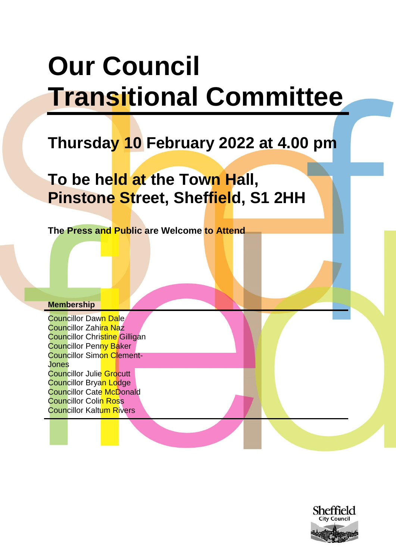# **Our Council Transitional Committee**

## **Thursday 10 February 2022 at 4.00 pm**

## **To be held at the Town Hall, Pinstone Street, Sheffield, S1 2HH**

**The Press and Public are Welcome to Attend**

#### **Membership**

Councillor Dawn Dale Councillor Zahira Naz **Councillor Christine Gilligan Councillor Penny Baker** Councillor Simon Clement-Jones Councillor Julie Grocutt Councillor Bryan Lodge **Councillor Cate McDonald Councillor Colin Ross** Councillor Kaltum Rivers

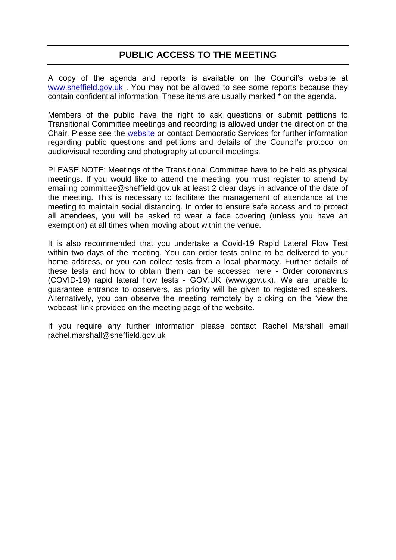### **PUBLIC ACCESS TO THE MEETING**

A copy of the agenda and reports is available on the Council's website at [www.sheffield.gov.uk](http://www.sheffield.gov.uk/) . You may not be allowed to see some reports because they contain confidential information. These items are usually marked \* on the agenda.

Members of the public have the right to ask questions or submit petitions to Transitional Committee meetings and recording is allowed under the direction of the Chair. Please see the [website](https://democracy.sheffield.gov.uk/mgCommitteeDetails.aspx?ID=630) or contact Democratic Services for further information regarding public questions and petitions and details of the Council's protocol on audio/visual recording and photography at council meetings.

PLEASE NOTE: Meetings of the Transitional Committee have to be held as physical meetings. If you would like to attend the meeting, you must register to attend by emailing committee@sheffield.gov.uk at least 2 clear days in advance of the date of the meeting. This is necessary to facilitate the management of attendance at the meeting to maintain social distancing. In order to ensure safe access and to protect all attendees, you will be asked to wear a face covering (unless you have an exemption) at all times when moving about within the venue.

It is also recommended that you undertake a Covid-19 Rapid Lateral Flow Test within two days of the meeting. You can order tests online to be delivered to your home address, or you can collect tests from a local pharmacy. Further details of these tests and how to obtain them can be accessed here - Order coronavirus (COVID-19) rapid lateral flow tests - GOV.UK (www.gov.uk). We are unable to guarantee entrance to observers, as priority will be given to registered speakers. Alternatively, you can observe the meeting remotely by clicking on the 'view the webcast' link provided on the meeting page of the website.

If you require any further information please contact Rachel Marshall email rachel.marshall@sheffield.gov.uk